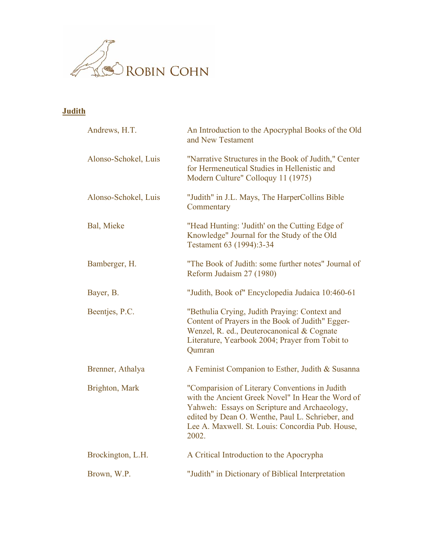

## **Judith**

| Andrews, H.T.        | An Introduction to the Apocryphal Books of the Old<br>and New Testament                                                                                                                                                                                              |
|----------------------|----------------------------------------------------------------------------------------------------------------------------------------------------------------------------------------------------------------------------------------------------------------------|
| Alonso-Schokel, Luis | "Narrative Structures in the Book of Judith," Center<br>for Hermeneutical Studies in Hellenistic and<br>Modern Culture" Colloquy 11 (1975)                                                                                                                           |
| Alonso-Schokel, Luis | "Judith" in J.L. Mays, The HarperCollins Bible<br>Commentary                                                                                                                                                                                                         |
| Bal, Mieke           | "Head Hunting: 'Judith' on the Cutting Edge of<br>Knowledge" Journal for the Study of the Old<br>Testament 63 (1994):3-34                                                                                                                                            |
| Bamberger, H.        | "The Book of Judith: some further notes" Journal of<br>Reform Judaism 27 (1980)                                                                                                                                                                                      |
| Bayer, B.            | "Judith, Book of" Encyclopedia Judaica 10:460-61                                                                                                                                                                                                                     |
| Beentjes, P.C.       | "Bethulia Crying, Judith Praying: Context and<br>Content of Prayers in the Book of Judith" Egger-<br>Wenzel, R. ed., Deuterocanonical & Cognate<br>Literature, Yearbook 2004; Prayer from Tobit to<br>Qumran                                                         |
| Brenner, Athalya     | A Feminist Companion to Esther, Judith & Susanna                                                                                                                                                                                                                     |
| Brighton, Mark       | "Comparision of Literary Conventions in Judith<br>with the Ancient Greek Novel" In Hear the Word of<br>Yahweh: Essays on Scripture and Archaeology,<br>edited by Dean O. Wenthe, Paul L. Schrieber, and<br>Lee A. Maxwell. St. Louis: Concordia Pub. House,<br>2002. |
| Brockington, L.H.    | A Critical Introduction to the Apocrypha                                                                                                                                                                                                                             |
| Brown, W.P.          | "Judith" in Dictionary of Biblical Interpretation                                                                                                                                                                                                                    |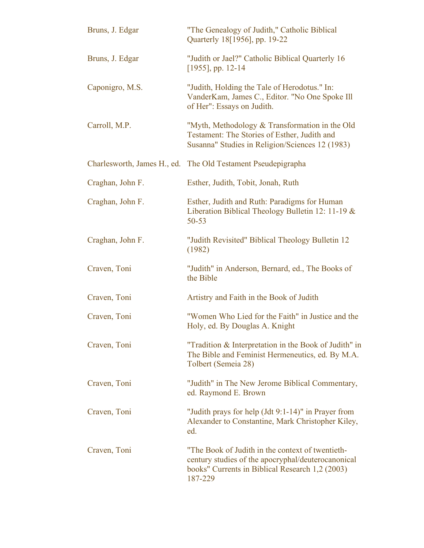| Bruns, J. Edgar  | "The Genealogy of Judith," Catholic Biblical<br>Quarterly 18[1956], pp. 19-22                                                                                        |
|------------------|----------------------------------------------------------------------------------------------------------------------------------------------------------------------|
| Bruns, J. Edgar  | "Judith or Jael?" Catholic Biblical Quarterly 16<br>$[1955]$ , pp. 12-14                                                                                             |
| Caponigro, M.S.  | "Judith, Holding the Tale of Herodotus." In:<br>VanderKam, James C., Editor. "No One Spoke Ill<br>of Her": Essays on Judith.                                         |
| Carroll, M.P.    | "Myth, Methodology & Transformation in the Old<br>Testament: The Stories of Esther, Judith and<br>Susanna" Studies in Religion/Sciences 12 (1983)                    |
|                  | Charlesworth, James H., ed. The Old Testament Pseudepigrapha                                                                                                         |
| Craghan, John F. | Esther, Judith, Tobit, Jonah, Ruth                                                                                                                                   |
| Craghan, John F. | Esther, Judith and Ruth: Paradigms for Human<br>Liberation Biblical Theology Bulletin 12: 11-19 $&$<br>$50 - 53$                                                     |
| Craghan, John F. | "Judith Revisited" Biblical Theology Bulletin 12<br>(1982)                                                                                                           |
| Craven, Toni     | "Judith" in Anderson, Bernard, ed., The Books of<br>the Bible                                                                                                        |
| Craven, Toni     | Artistry and Faith in the Book of Judith                                                                                                                             |
| Craven, Toni     | "Women Who Lied for the Faith" in Justice and the<br>Holy, ed. By Douglas A. Knight                                                                                  |
| Craven, Toni     | "Tradition & Interpretation in the Book of Judith" in<br>The Bible and Feminist Hermeneutics, ed. By M.A.<br>Tolbert (Semeia 28)                                     |
| Craven, Toni     | "Judith" in The New Jerome Biblical Commentary,<br>ed. Raymond E. Brown                                                                                              |
| Craven, Toni     | "Judith prays for help (Jdt 9:1-14)" in Prayer from<br>Alexander to Constantine, Mark Christopher Kiley,<br>ed.                                                      |
| Craven, Toni     | "The Book of Judith in the context of twentieth-<br>century studies of the apocryphal/deuterocanonical<br>books" Currents in Biblical Research 1,2 (2003)<br>187-229 |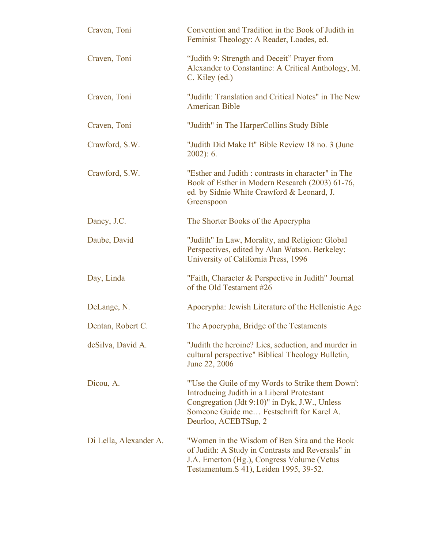| Craven, Toni           | Convention and Tradition in the Book of Judith in<br>Feminist Theology: A Reader, Loades, ed.                                                                                                                        |
|------------------------|----------------------------------------------------------------------------------------------------------------------------------------------------------------------------------------------------------------------|
| Craven, Toni           | "Judith 9: Strength and Deceit" Prayer from<br>Alexander to Constantine: A Critical Anthology, M.<br>C. Kiley (ed.)                                                                                                  |
| Craven, Toni           | "Judith: Translation and Critical Notes" in The New<br><b>American Bible</b>                                                                                                                                         |
| Craven, Toni           | "Judith" in The HarperCollins Study Bible                                                                                                                                                                            |
| Crawford, S.W.         | "Judith Did Make It" Bible Review 18 no. 3 (June<br>$2002$ : 6.                                                                                                                                                      |
| Crawford, S.W.         | "Esther and Judith : contrasts in character" in The<br>Book of Esther in Modern Research (2003) 61-76,<br>ed. by Sidnie White Crawford & Leonard, J.<br>Greenspoon                                                   |
| Dancy, J.C.            | The Shorter Books of the Apocrypha                                                                                                                                                                                   |
| Daube, David           | "Judith" In Law, Morality, and Religion: Global<br>Perspectives, edited by Alan Watson. Berkeley:<br>University of California Press, 1996                                                                            |
| Day, Linda             | "Faith, Character & Perspective in Judith" Journal<br>of the Old Testament #26                                                                                                                                       |
| DeLange, N.            | Apocrypha: Jewish Literature of the Hellenistic Age                                                                                                                                                                  |
| Dentan, Robert C.      | The Apocrypha, Bridge of the Testaments                                                                                                                                                                              |
| deSilva, David A.      | "Judith the heroine? Lies, seduction, and murder in<br>cultural perspective" Biblical Theology Bulletin,<br>June 22, 2006                                                                                            |
| Dicou, A.              | "Use the Guile of my Words to Strike them Down":<br>Introducing Judith in a Liberal Protestant<br>Congregation (Jdt 9:10)" in Dyk, J.W., Unless<br>Someone Guide me Festschrift for Karel A.<br>Deurloo, ACEBTSup, 2 |
| Di Lella, Alexander A. | "Women in the Wisdom of Ben Sira and the Book"<br>of Judith: A Study in Contrasts and Reversals" in<br>J.A. Emerton (Hg.), Congress Volume (Vetus<br>Testamentum. S 41), Leiden 1995, 39-52.                         |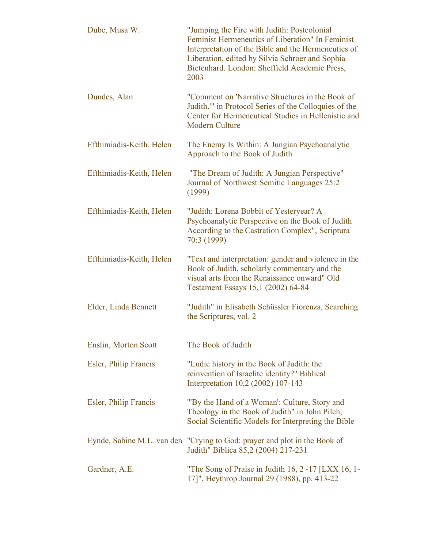| Dube, Musa W.            | "Jumping the Fire with Judith: Postcolonial<br>Feminist Hermeneutics of Liberation" In Feminist<br>Interpretation of the Bible and the Hermeneutics of<br>Liberation, edited by Silvia Schroer and Sophia<br>Bietenhard. London: Sheffield Academic Press,<br>2003 |
|--------------------------|--------------------------------------------------------------------------------------------------------------------------------------------------------------------------------------------------------------------------------------------------------------------|
| Dundes, Alan             | "Comment on 'Narrative Structures in the Book of<br>Judith." in Protocol Series of the Colloquies of the<br>Center for Hermeneutical Studies in Hellenistic and<br><b>Modern Culture</b>                                                                           |
| Efthimiadis-Keith, Helen | The Enemy Is Within: A Jungian Psychoanalytic<br>Approach to the Book of Judith                                                                                                                                                                                    |
| Efthimiadis-Keith, Helen | "The Dream of Judith: A Jungian Perspective"<br>Journal of Northwest Semitic Languages 25:2<br>(1999)                                                                                                                                                              |
| Efthimiadis-Keith, Helen | "Judith: Lorena Bobbit of Yesteryear? A<br>Psychoanalytic Perspective on the Book of Judith<br>According to the Castration Complex", Scriptura<br>70:3 (1999)                                                                                                      |
| Efthimiadis-Keith, Helen | "Text and interpretation: gender and violence in the<br>Book of Judith, scholarly commentary and the<br>visual arts from the Renaissance onward" Old<br>Testament Essays 15,1 (2002) 64-84                                                                         |
| Elder, Linda Bennett     | "Judith" in Elisabeth Schüssler Fiorenza, Searching<br>the Scriptures, vol. 2                                                                                                                                                                                      |
| Enslin, Morton Scott     | The Book of Judith                                                                                                                                                                                                                                                 |
| Esler, Philip Francis    | "Ludic history in the Book of Judith: the<br>reinvention of Israelite identity?" Biblical<br>Interpretation 10,2 (2002) 107-143                                                                                                                                    |
| Esler, Philip Francis    | "By the Hand of a Woman": Culture, Story and<br>Theology in the Book of Judith" in John Pilch,<br>Social Scientific Models for Interpreting the Bible                                                                                                              |
|                          | Eynde, Sabine M.L. van den "Crying to God: prayer and plot in the Book of<br>Judith" Biblica 85,2 (2004) 217-231                                                                                                                                                   |
| Gardner, A.E.            | "The Song of Praise in Judith 16, 2 -17 [LXX 16, 1-<br>17]", Heythrop Journal 29 (1988), pp. 413-22                                                                                                                                                                |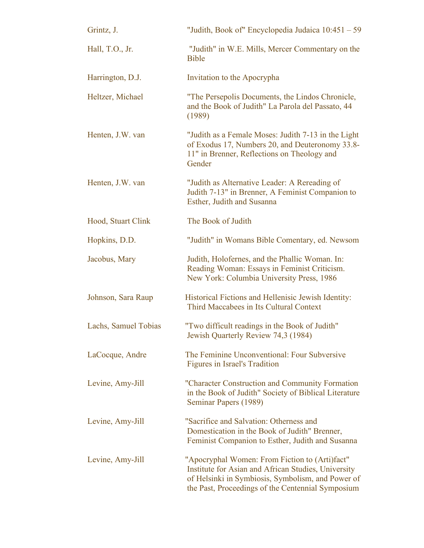| Grintz, J.           | "Judith, Book of" Encyclopedia Judaica 10:451 – 59                                                                                                                                                              |
|----------------------|-----------------------------------------------------------------------------------------------------------------------------------------------------------------------------------------------------------------|
| Hall, T.O., Jr.      | "Judith" in W.E. Mills, Mercer Commentary on the<br><b>Bible</b>                                                                                                                                                |
| Harrington, D.J.     | Invitation to the Apocrypha                                                                                                                                                                                     |
| Heltzer, Michael     | "The Persepolis Documents, the Lindos Chronicle,<br>and the Book of Judith" La Parola del Passato, 44<br>(1989)                                                                                                 |
| Henten, J.W. van     | "Judith as a Female Moses: Judith 7-13 in the Light<br>of Exodus 17, Numbers 20, and Deuteronomy 33.8-<br>11" in Brenner, Reflections on Theology and<br>Gender                                                 |
| Henten, J.W. van     | "Judith as Alternative Leader: A Rereading of<br>Judith 7-13" in Brenner, A Feminist Companion to<br>Esther, Judith and Susanna                                                                                 |
| Hood, Stuart Clink   | The Book of Judith                                                                                                                                                                                              |
| Hopkins, D.D.        | "Judith" in Womans Bible Comentary, ed. Newsom                                                                                                                                                                  |
| Jacobus, Mary        | Judith, Holofernes, and the Phallic Woman. In:<br>Reading Woman: Essays in Feminist Criticism.<br>New York: Columbia University Press, 1986                                                                     |
| Johnson, Sara Raup   | Historical Fictions and Hellenisic Jewish Identity:<br>Third Maccabees in Its Cultural Context                                                                                                                  |
| Lachs, Samuel Tobias | "Two difficult readings in the Book of Judith"<br>Jewish Quarterly Review 74,3 (1984)                                                                                                                           |
| LaCocque, Andre      | The Feminine Unconventional: Four Subversive<br><b>Figures in Israel's Tradition</b>                                                                                                                            |
| Levine, Amy-Jill     | "Character Construction and Community Formation<br>in the Book of Judith" Society of Biblical Literature<br>Seminar Papers (1989)                                                                               |
| Levine, Amy-Jill     | "Sacrifice and Salvation: Otherness and<br>Domestication in the Book of Judith" Brenner,<br>Feminist Companion to Esther, Judith and Susanna                                                                    |
| Levine, Amy-Jill     | "Apocryphal Women: From Fiction to (Arti)fact"<br>Institute for Asian and African Studies, University<br>of Helsinki in Symbiosis, Symbolism, and Power of<br>the Past, Proceedings of the Centennial Symposium |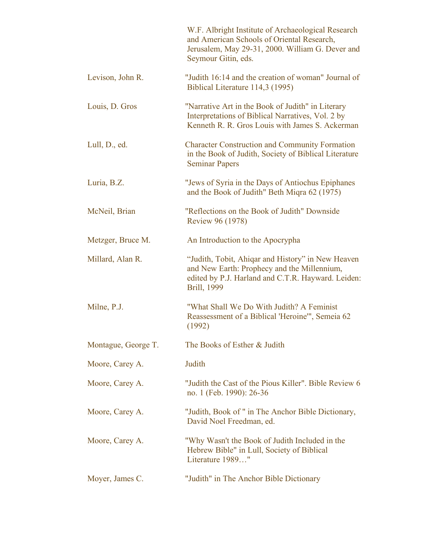|                     | W.F. Albright Institute of Archaeological Research<br>and American Schools of Oriental Research,<br>Jerusalem, May 29-31, 2000. William G. Dever and<br>Seymour Gitin, eds. |
|---------------------|-----------------------------------------------------------------------------------------------------------------------------------------------------------------------------|
| Levison, John R.    | "Judith 16:14 and the creation of woman" Journal of<br>Biblical Literature 114,3 (1995)                                                                                     |
| Louis, D. Gros      | "Narrative Art in the Book of Judith" in Literary<br>Interpretations of Biblical Narratives, Vol. 2 by<br>Kenneth R. R. Gros Louis with James S. Ackerman                   |
| Lull, D., ed.       | <b>Character Construction and Community Formation</b><br>in the Book of Judith, Society of Biblical Literature<br><b>Seminar Papers</b>                                     |
| Luria, B.Z.         | "Jews of Syria in the Days of Antiochus Epiphanes"<br>and the Book of Judith" Beth Miqra 62 (1975)                                                                          |
| McNeil, Brian       | "Reflections on the Book of Judith" Downside<br>Review 96 (1978)                                                                                                            |
| Metzger, Bruce M.   | An Introduction to the Apocrypha                                                                                                                                            |
| Millard, Alan R.    | "Judith, Tobit, Ahigar and History" in New Heaven<br>and New Earth: Prophecy and the Millennium,<br>edited by P.J. Harland and C.T.R. Hayward. Leiden:<br>Brill, 1999       |
| Milne, P.J.         | "What Shall We Do With Judith? A Feminist<br>Reassessment of a Biblical 'Heroine'", Semeia 62<br>(1992)                                                                     |
| Montague, George T. | The Books of Esther & Judith                                                                                                                                                |
| Moore, Carey A.     | Judith                                                                                                                                                                      |
| Moore, Carey A.     | "Judith the Cast of the Pious Killer". Bible Review 6<br>no. 1 (Feb. 1990): 26-36                                                                                           |
| Moore, Carey A.     | "Judith, Book of " in The Anchor Bible Dictionary,<br>David Noel Freedman, ed.                                                                                              |
| Moore, Carey A.     | "Why Wasn't the Book of Judith Included in the<br>Hebrew Bible" in Lull, Society of Biblical<br>Literature 1989"                                                            |
| Moyer, James C.     | "Judith" in The Anchor Bible Dictionary                                                                                                                                     |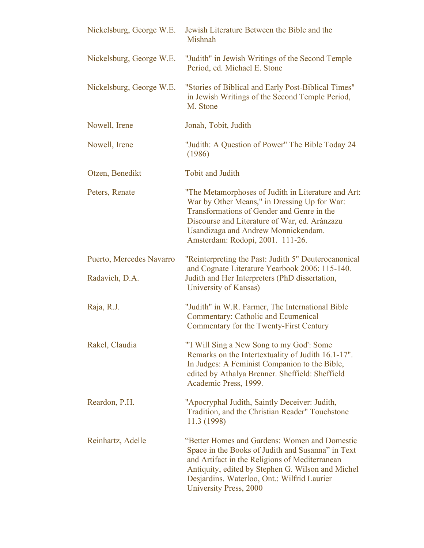| Nickelsburg, George W.E.                   | Jewish Literature Between the Bible and the<br>Mishnah                                                                                                                                                                                                                             |
|--------------------------------------------|------------------------------------------------------------------------------------------------------------------------------------------------------------------------------------------------------------------------------------------------------------------------------------|
| Nickelsburg, George W.E.                   | "Judith" in Jewish Writings of the Second Temple<br>Period, ed. Michael E. Stone                                                                                                                                                                                                   |
| Nickelsburg, George W.E.                   | "Stories of Biblical and Early Post-Biblical Times"<br>in Jewish Writings of the Second Temple Period,<br>M. Stone                                                                                                                                                                 |
| Nowell, Irene                              | Jonah, Tobit, Judith                                                                                                                                                                                                                                                               |
| Nowell, Irene                              | "Judith: A Question of Power" The Bible Today 24<br>(1986)                                                                                                                                                                                                                         |
| Otzen, Benedikt                            | <b>Tobit and Judith</b>                                                                                                                                                                                                                                                            |
| Peters, Renate                             | "The Metamorphoses of Judith in Literature and Art:<br>War by Other Means," in Dressing Up for War:<br>Transformations of Gender and Genre in the<br>Discourse and Literature of War, ed. Aránzazu<br>Usandizaga and Andrew Monnickendam.<br>Amsterdam: Rodopi, 2001. 111-26.      |
| Puerto, Mercedes Navarro<br>Radavich, D.A. | "Reinterpreting the Past: Judith 5" Deuterocanonical<br>and Cognate Literature Yearbook 2006: 115-140.<br>Judith and Her Interpreters (PhD dissertation,<br>University of Kansas)                                                                                                  |
| Raja, R.J.                                 | "Judith" in W.R. Farmer, The International Bible<br><b>Commentary: Catholic and Ecumenical</b><br>Commentary for the Twenty-First Century                                                                                                                                          |
| Rakel, Claudia                             | "I Will Sing a New Song to my God': Some<br>Remarks on the Intertextuality of Judith 16.1-17".<br>In Judges: A Feminist Companion to the Bible,<br>edited by Athalya Brenner. Sheffield: Sheffield<br>Academic Press, 1999.                                                        |
| Reardon, P.H.                              | "Apocryphal Judith, Saintly Deceiver: Judith,<br>Tradition, and the Christian Reader" Touchstone<br>11.3 (1998)                                                                                                                                                                    |
| Reinhartz, Adelle                          | "Better Homes and Gardens: Women and Domestic<br>Space in the Books of Judith and Susanna" in Text<br>and Artifact in the Religions of Mediterranean<br>Antiquity, edited by Stephen G. Wilson and Michel<br>Desjardins. Waterloo, Ont.: Wilfrid Laurier<br>University Press, 2000 |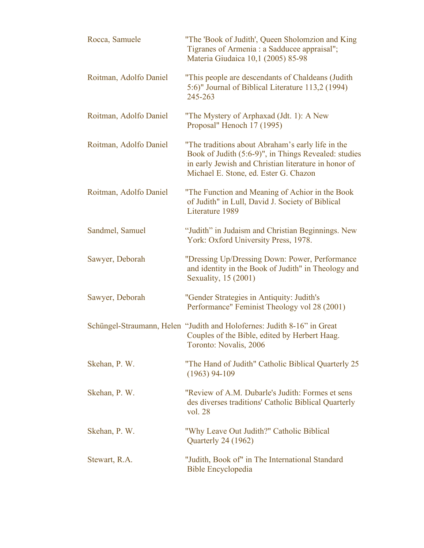| Rocca, Samuele         | "The 'Book of Judith', Queen Sholomzion and King<br>Tigranes of Armenia : a Sadducee appraisal";<br>Materia Giudaica 10,1 (2005) 85-98                                                                     |
|------------------------|------------------------------------------------------------------------------------------------------------------------------------------------------------------------------------------------------------|
| Roitman, Adolfo Daniel | "This people are descendants of Chaldeans (Judith<br>5:6)" Journal of Biblical Literature 113,2 (1994)<br>245-263                                                                                          |
| Roitman, Adolfo Daniel | "The Mystery of Arphaxad (Jdt. 1): A New<br>Proposal" Henoch 17 (1995)                                                                                                                                     |
| Roitman, Adolfo Daniel | "The traditions about Abraham's early life in the<br>Book of Judith (5:6-9)", in Things Revealed: studies<br>in early Jewish and Christian literature in honor of<br>Michael E. Stone, ed. Ester G. Chazon |
| Roitman, Adolfo Daniel | "The Function and Meaning of Achior in the Book<br>of Judith" in Lull, David J. Society of Biblical<br>Literature 1989                                                                                     |
| Sandmel, Samuel        | "Judith" in Judaism and Christian Beginnings. New<br>York: Oxford University Press, 1978.                                                                                                                  |
| Sawyer, Deborah        | "Dressing Up/Dressing Down: Power, Performance<br>and identity in the Book of Judith" in Theology and<br>Sexuality, 15 (2001)                                                                              |
| Sawyer, Deborah        | "Gender Strategies in Antiquity: Judith's<br>Performance" Feminist Theology vol 28 (2001)                                                                                                                  |
|                        | Schüngel-Straumann, Helen "Judith and Holofernes: Judith 8-16" in Great<br>Couples of the Bible, edited by Herbert Haag.<br>Toronto: Novalis, 2006                                                         |
| Skehan, P. W.          | "The Hand of Judith" Catholic Biblical Quarterly 25<br>$(1963)$ 94-109                                                                                                                                     |
| Skehan, P. W.          | "Review of A.M. Dubarle's Judith: Formes et sens<br>des diverses traditions' Catholic Biblical Quarterly<br>vol. 28                                                                                        |
| Skehan, P. W.          | "Why Leave Out Judith?" Catholic Biblical<br>Quarterly 24 (1962)                                                                                                                                           |
| Stewart, R.A.          | "Judith, Book of" in The International Standard<br><b>Bible Encyclopedia</b>                                                                                                                               |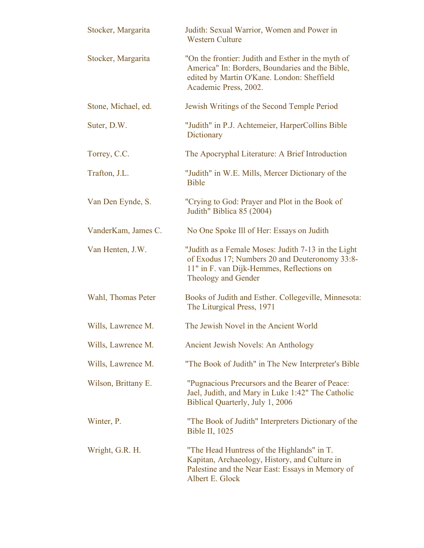| Stocker, Margarita  | Judith: Sexual Warrior, Women and Power in<br><b>Western Culture</b>                                                                                                         |
|---------------------|------------------------------------------------------------------------------------------------------------------------------------------------------------------------------|
| Stocker, Margarita  | "On the frontier: Judith and Esther in the myth of<br>America" In: Borders, Boundaries and the Bible,<br>edited by Martin O'Kane. London: Sheffield<br>Academic Press, 2002. |
| Stone, Michael, ed. | Jewish Writings of the Second Temple Period                                                                                                                                  |
| Suter, D.W.         | "Judith" in P.J. Achtemeier, HarperCollins Bible<br>Dictionary                                                                                                               |
| Torrey, C.C.        | The Apocryphal Literature: A Brief Introduction                                                                                                                              |
| Trafton, J.L.       | "Judith" in W.E. Mills, Mercer Dictionary of the<br><b>Bible</b>                                                                                                             |
| Van Den Eynde, S.   | "Crying to God: Prayer and Plot in the Book of<br>Judith" Biblica 85 (2004)                                                                                                  |
| VanderKam, James C. | No One Spoke III of Her: Essays on Judith                                                                                                                                    |
| Van Henten, J.W.    | "Judith as a Female Moses: Judith 7-13 in the Light<br>of Exodus 17; Numbers 20 and Deuteronomy 33:8-<br>11" in F. van Dijk-Hemmes, Reflections on<br>Theology and Gender    |
| Wahl, Thomas Peter  | Books of Judith and Esther. Collegeville, Minnesota:<br>The Liturgical Press, 1971                                                                                           |
| Wills, Lawrence M.  | The Jewish Novel in the Ancient World                                                                                                                                        |
| Wills, Lawrence M.  | Ancient Jewish Novels: An Anthology                                                                                                                                          |
| Wills, Lawrence M.  | "The Book of Judith" in The New Interpreter's Bible                                                                                                                          |
| Wilson, Brittany E. | "Pugnacious Precursors and the Bearer of Peace:<br>Jael, Judith, and Mary in Luke 1:42" The Catholic<br>Biblical Quarterly, July 1, 2006                                     |
| Winter, P.          | "The Book of Judith" Interpreters Dictionary of the<br><b>Bible II, 1025</b>                                                                                                 |
| Wright, G.R. H.     | "The Head Huntress of the Highlands" in T.<br>Kapitan, Archaeology, History, and Culture in<br>Palestine and the Near East: Essays in Memory of<br>Albert E. Glock           |